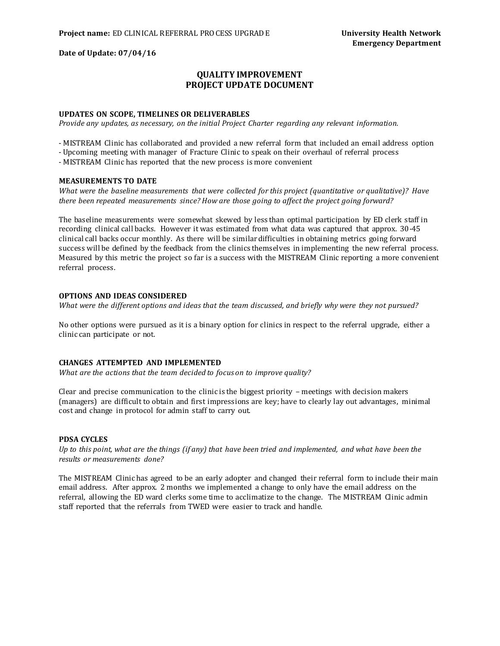**Date of Update: 07/04/16**

# **QUALITY IMPROVEMENT PROJECT UPDATE DOCUMENT**

### **UPDATES ON SCOPE, TIMELINES OR DELIVERABLES**

*Provide any updates, as necessary, on the initial Project Charter regarding any relevant information.*

- MISTREAM Clinic has collaborated and provided a new referral form that included an email address option

- Upcoming meeting with manager of Fracture Clinic to speak on their overhaul of referral process

- MISTREAM Clinic has reported that the new process is more convenient

# **MEASUREMENTS TO DATE**

*What were the baseline measurements that were collected for this project (quantitative or qualitative)? Have there been repeated measurements since? How are those going to affect the project going forward?*

The baseline measurements were somewhat skewed by less than optimal participation by ED clerk staff in recording clinical call backs. However it was estimated from what data was captured that approx. 30-45 clinical call backs occur monthly. As there will be similar difficulties in obtaining metrics going forward success will be defined by the feedback from the clinics themselves in implementing the new referral process. Measured by this metric the project so far is a success with the MISTREAM Clinic reporting a more convenient referral process.

# **OPTIONS AND IDEAS CONSIDERED**

*What were the different options and ideas that the team discussed, and briefly why were they not pursued?*

No other options were pursued as it is a binary option for clinics in respect to the referral upgrade, either a clinic can participate or not.

# **CHANGES ATTEMPTED AND IMPLEMENTED**

*What are the actions that the team decided to focus on to improve quality?*

Clear and precise communication to the clinic is the biggest priority – meetings with decision makers (managers) are difficult to obtain and first impressions are key; have to clearly lay out advantages, minimal cost and change in protocol for admin staff to carry out.

### **PDSA CYCLES**

*Up to this point, what are the things (if any) that have been tried and implemented, and what have been the results or measurements done?*

The MISTREAM Clinic has agreed to be an early adopter and changed their referral form to include their main email address. After approx. 2 months we implemented a change to only have the email address on the referral, allowing the ED ward clerks some time to acclimatize to the change. The MISTREAM Clinic admin staff reported that the referrals from TWED were easier to track and handle.